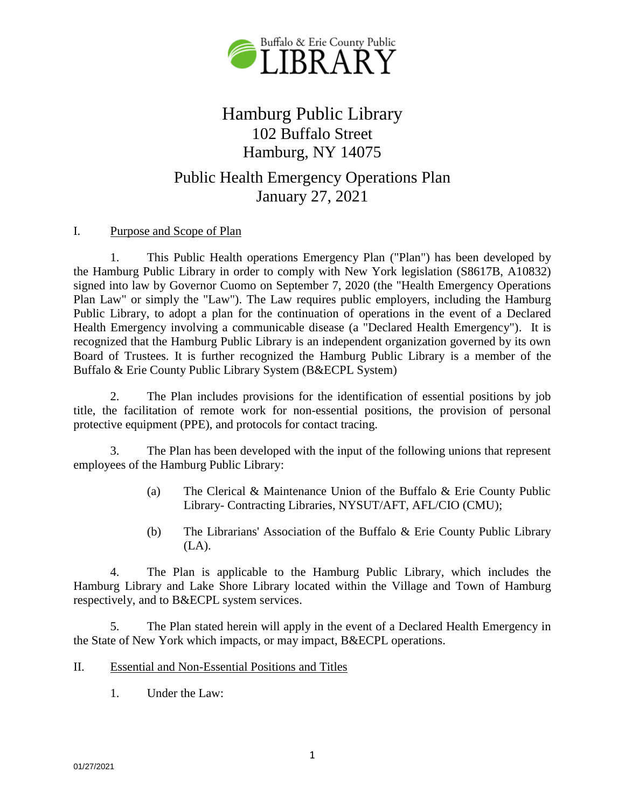

# Hamburg Public Library 102 Buffalo Street Hamburg, NY 14075

## Public Health Emergency Operations Plan January 27, 2021

## I. Purpose and Scope of Plan

1. This Public Health operations Emergency Plan ("Plan") has been developed by the Hamburg Public Library in order to comply with New York legislation (S8617B, A10832) signed into law by Governor Cuomo on September 7, 2020 (the "Health Emergency Operations Plan Law" or simply the "Law"). The Law requires public employers, including the Hamburg Public Library, to adopt a plan for the continuation of operations in the event of a Declared Health Emergency involving a communicable disease (a "Declared Health Emergency"). It is recognized that the Hamburg Public Library is an independent organization governed by its own Board of Trustees. It is further recognized the Hamburg Public Library is a member of the Buffalo & Erie County Public Library System (B&ECPL System)

2. The Plan includes provisions for the identification of essential positions by job title, the facilitation of remote work for non-essential positions, the provision of personal protective equipment (PPE), and protocols for contact tracing.

3. The Plan has been developed with the input of the following unions that represent employees of the Hamburg Public Library:

- (a) The Clerical & Maintenance Union of the Buffalo & Erie County Public Library- Contracting Libraries, NYSUT/AFT, AFL/CIO (CMU);
- (b) The Librarians' Association of the Buffalo & Erie County Public Library (LA).

4. The Plan is applicable to the Hamburg Public Library, which includes the Hamburg Library and Lake Shore Library located within the Village and Town of Hamburg respectively, and to B&ECPL system services.

5. The Plan stated herein will apply in the event of a Declared Health Emergency in the State of New York which impacts, or may impact, B&ECPL operations.

- II. Essential and Non-Essential Positions and Titles
	- 1. Under the Law: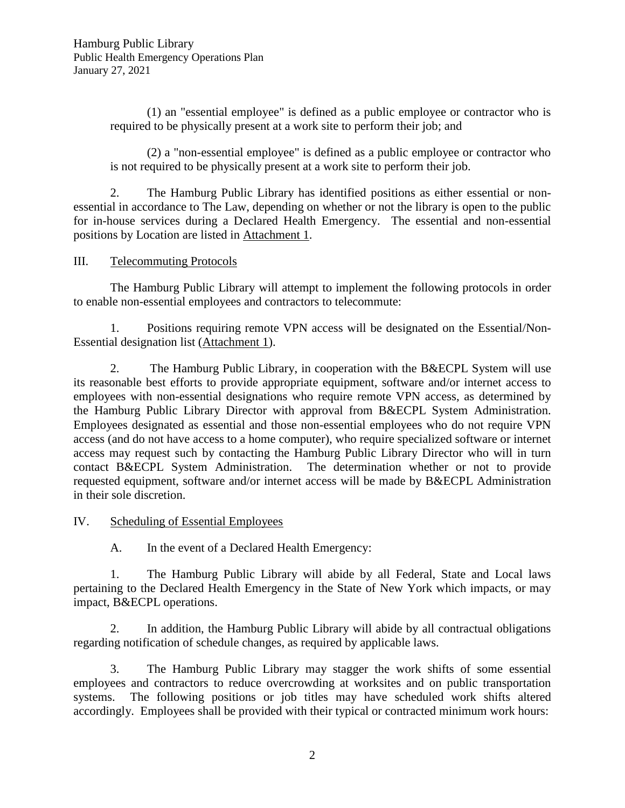(1) an "essential employee" is defined as a public employee or contractor who is required to be physically present at a work site to perform their job; and

(2) a "non-essential employee" is defined as a public employee or contractor who is not required to be physically present at a work site to perform their job.

2. The Hamburg Public Library has identified positions as either essential or nonessential in accordance to The Law, depending on whether or not the library is open to the public for in-house services during a Declared Health Emergency. The essential and non-essential positions by Location are listed in Attachment 1.

### III. Telecommuting Protocols

The Hamburg Public Library will attempt to implement the following protocols in order to enable non-essential employees and contractors to telecommute:

1. Positions requiring remote VPN access will be designated on the Essential/Non-Essential designation list (Attachment 1).

2. The Hamburg Public Library, in cooperation with the B&ECPL System will use its reasonable best efforts to provide appropriate equipment, software and/or internet access to employees with non-essential designations who require remote VPN access, as determined by the Hamburg Public Library Director with approval from B&ECPL System Administration. Employees designated as essential and those non-essential employees who do not require VPN access (and do not have access to a home computer), who require specialized software or internet access may request such by contacting the Hamburg Public Library Director who will in turn contact B&ECPL System Administration. The determination whether or not to provide requested equipment, software and/or internet access will be made by B&ECPL Administration in their sole discretion.

## IV. Scheduling of Essential Employees

A. In the event of a Declared Health Emergency:

1. The Hamburg Public Library will abide by all Federal, State and Local laws pertaining to the Declared Health Emergency in the State of New York which impacts, or may impact, B&ECPL operations.

2. In addition, the Hamburg Public Library will abide by all contractual obligations regarding notification of schedule changes, as required by applicable laws.

3. The Hamburg Public Library may stagger the work shifts of some essential employees and contractors to reduce overcrowding at worksites and on public transportation systems. The following positions or job titles may have scheduled work shifts altered accordingly. Employees shall be provided with their typical or contracted minimum work hours: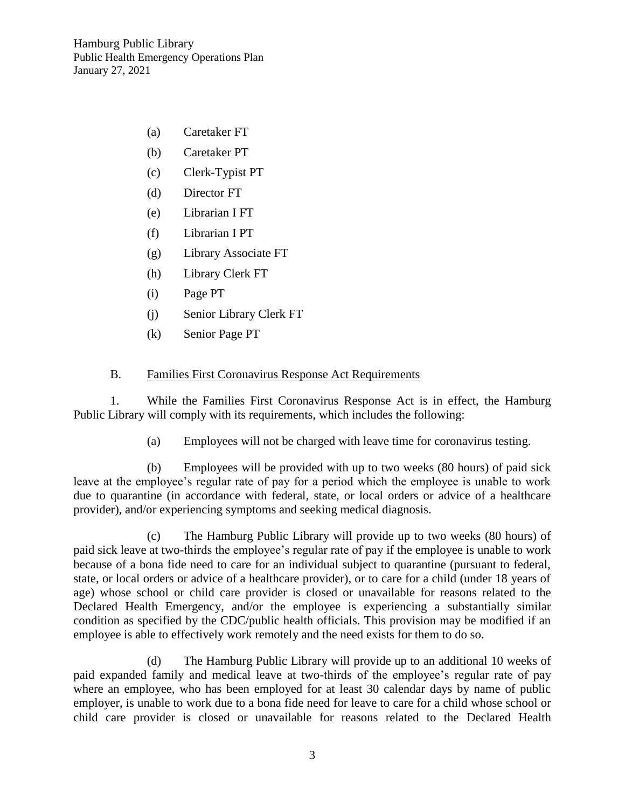- (a) Caretaker FT
- (b) Caretaker PT
- (c) Clerk-Typist PT
- (d) Director FT
- (e) Librarian I FT
- (f) Librarian I PT
- (g) Library Associate FT
- (h) Library Clerk FT
- (i) Page PT
- (j) Senior Library Clerk FT
- (k) Senior Page PT

### B. Families First Coronavirus Response Act Requirements

1. While the Families First Coronavirus Response Act is in effect, the Hamburg Public Library will comply with its requirements, which includes the following:

(a) Employees will not be charged with leave time for coronavirus testing.

(b) Employees will be provided with up to two weeks (80 hours) of paid sick leave at the employee's regular rate of pay for a period which the employee is unable to work due to quarantine (in accordance with federal, state, or local orders or advice of a healthcare provider), and/or experiencing symptoms and seeking medical diagnosis.

(c) The Hamburg Public Library will provide up to two weeks (80 hours) of paid sick leave at two-thirds the employee's regular rate of pay if the employee is unable to work because of a bona fide need to care for an individual subject to quarantine (pursuant to federal, state, or local orders or advice of a healthcare provider), or to care for a child (under 18 years of age) whose school or child care provider is closed or unavailable for reasons related to the Declared Health Emergency, and/or the employee is experiencing a substantially similar condition as specified by the CDC/public health officials. This provision may be modified if an employee is able to effectively work remotely and the need exists for them to do so.

(d) The Hamburg Public Library will provide up to an additional 10 weeks of paid expanded family and medical leave at two-thirds of the employee's regular rate of pay where an employee, who has been employed for at least 30 calendar days by name of public employer, is unable to work due to a bona fide need for leave to care for a child whose school or child care provider is closed or unavailable for reasons related to the Declared Health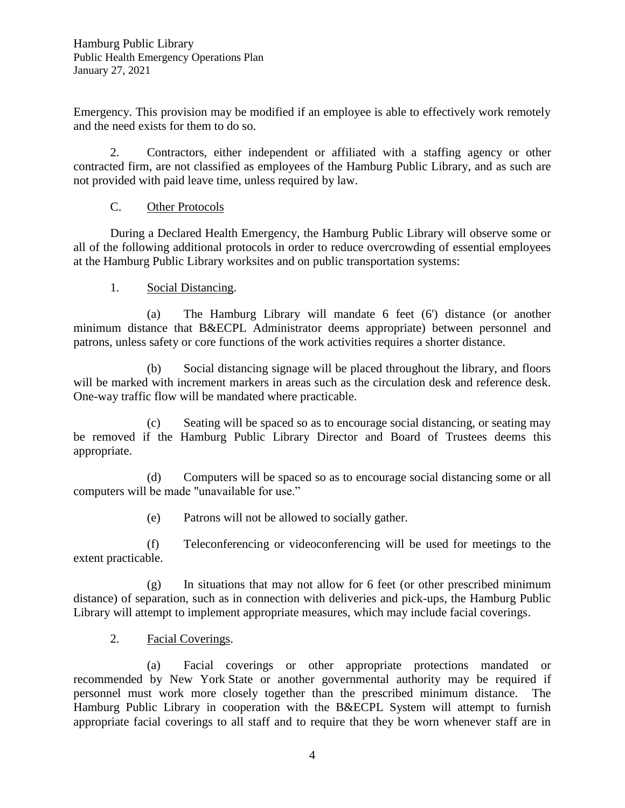Emergency. This provision may be modified if an employee is able to effectively work remotely and the need exists for them to do so.

2. Contractors, either independent or affiliated with a staffing agency or other contracted firm, are not classified as employees of the Hamburg Public Library, and as such are not provided with paid leave time, unless required by law.

## C. Other Protocols

During a Declared Health Emergency, the Hamburg Public Library will observe some or all of the following additional protocols in order to reduce overcrowding of essential employees at the Hamburg Public Library worksites and on public transportation systems:

1. Social Distancing.

(a) The Hamburg Library will mandate 6 feet (6') distance (or another minimum distance that B&ECPL Administrator deems appropriate) between personnel and patrons, unless safety or core functions of the work activities requires a shorter distance.

(b) Social distancing signage will be placed throughout the library, and floors will be marked with increment markers in areas such as the circulation desk and reference desk. One-way traffic flow will be mandated where practicable.

(c) Seating will be spaced so as to encourage social distancing, or seating may be removed if the Hamburg Public Library Director and Board of Trustees deems this appropriate.

(d) Computers will be spaced so as to encourage social distancing some or all computers will be made "unavailable for use."

(e) Patrons will not be allowed to socially gather.

(f) Teleconferencing or videoconferencing will be used for meetings to the extent practicable.

(g) In situations that may not allow for 6 feet (or other prescribed minimum distance) of separation, such as in connection with deliveries and pick-ups, the Hamburg Public Library will attempt to implement appropriate measures, which may include facial coverings.

2. Facial Coverings.

(a) Facial coverings or other appropriate protections mandated or recommended by New York State or another governmental authority may be required if personnel must work more closely together than the prescribed minimum distance. The Hamburg Public Library in cooperation with the B&ECPL System will attempt to furnish appropriate facial coverings to all staff and to require that they be worn whenever staff are in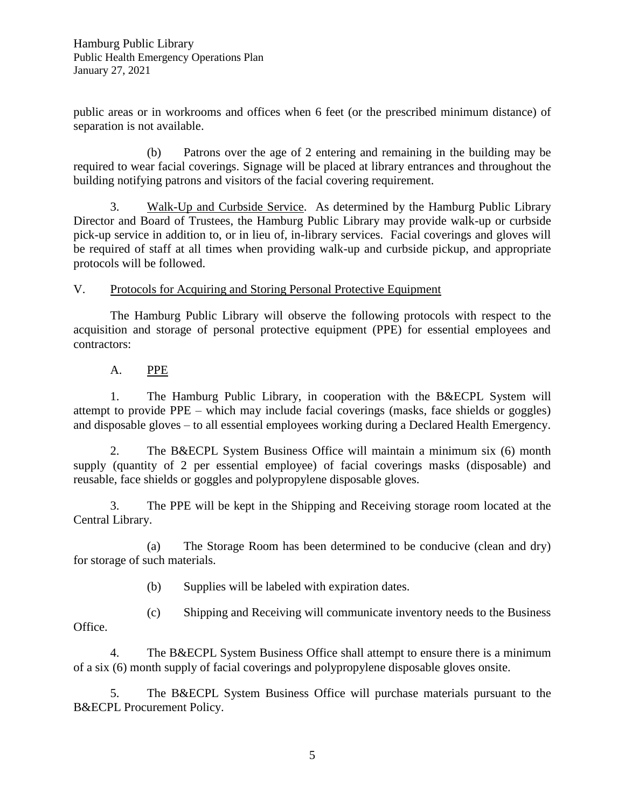public areas or in workrooms and offices when 6 feet (or the prescribed minimum distance) of separation is not available.

(b) Patrons over the age of 2 entering and remaining in the building may be required to wear facial coverings. Signage will be placed at library entrances and throughout the building notifying patrons and visitors of the facial covering requirement.

3. Walk-Up and Curbside Service. As determined by the Hamburg Public Library Director and Board of Trustees, the Hamburg Public Library may provide walk-up or curbside pick-up service in addition to, or in lieu of, in-library services. Facial coverings and gloves will be required of staff at all times when providing walk-up and curbside pickup, and appropriate protocols will be followed.

## V. Protocols for Acquiring and Storing Personal Protective Equipment

The Hamburg Public Library will observe the following protocols with respect to the acquisition and storage of personal protective equipment (PPE) for essential employees and contractors:

## A. PPE

1. The Hamburg Public Library, in cooperation with the B&ECPL System will attempt to provide PPE – which may include facial coverings (masks, face shields or goggles) and disposable gloves – to all essential employees working during a Declared Health Emergency.

2. The B&ECPL System Business Office will maintain a minimum six (6) month supply (quantity of 2 per essential employee) of facial coverings masks (disposable) and reusable, face shields or goggles and polypropylene disposable gloves.

3. The PPE will be kept in the Shipping and Receiving storage room located at the Central Library.

(a) The Storage Room has been determined to be conducive (clean and dry) for storage of such materials.

(b) Supplies will be labeled with expiration dates.

(c) Shipping and Receiving will communicate inventory needs to the Business Office.

4. The B&ECPL System Business Office shall attempt to ensure there is a minimum of a six (6) month supply of facial coverings and polypropylene disposable gloves onsite.

5. The B&ECPL System Business Office will purchase materials pursuant to the B&ECPL Procurement Policy.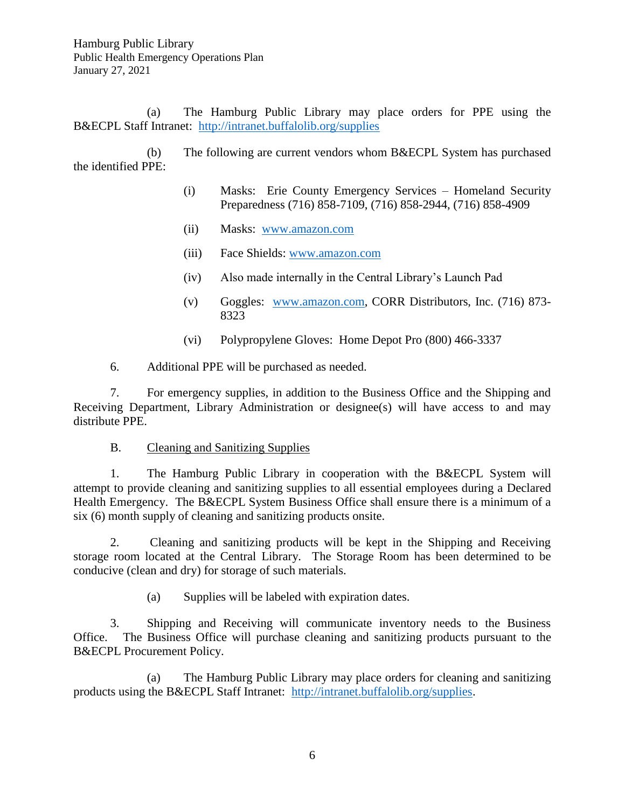(a) The Hamburg Public Library may place orders for PPE using the B&ECPL Staff Intranet: <http://intranet.buffalolib.org/supplies>

(b) The following are current vendors whom B&ECPL System has purchased the identified PPE:

- (i) Masks: Erie County Emergency Services Homeland Security Preparedness (716) 858-7109, (716) 858-2944, (716) 858-4909
- (ii) Masks: [www.amazon.com](http://www.amazon.com/)
- (iii) Face Shields: [www.amazon.com](http://www.amazon.com/)
- (iv) Also made internally in the Central Library's Launch Pad
- (v) Goggles: [www.amazon.com,](http://www.amazon.com/) CORR Distributors, Inc. (716) 873- 8323
- (vi) Polypropylene Gloves: Home Depot Pro (800) 466-3337
- 6. Additional PPE will be purchased as needed.

7. For emergency supplies, in addition to the Business Office and the Shipping and Receiving Department, Library Administration or designee(s) will have access to and may distribute PPE.

### B. Cleaning and Sanitizing Supplies

1. The Hamburg Public Library in cooperation with the B&ECPL System will attempt to provide cleaning and sanitizing supplies to all essential employees during a Declared Health Emergency. The B&ECPL System Business Office shall ensure there is a minimum of a six (6) month supply of cleaning and sanitizing products onsite.

2. Cleaning and sanitizing products will be kept in the Shipping and Receiving storage room located at the Central Library. The Storage Room has been determined to be conducive (clean and dry) for storage of such materials.

(a) Supplies will be labeled with expiration dates.

3. Shipping and Receiving will communicate inventory needs to the Business Office. The Business Office will purchase cleaning and sanitizing products pursuant to the B&ECPL Procurement Policy.

(a) The Hamburg Public Library may place orders for cleaning and sanitizing products using the B&ECPL Staff Intranet: [http://intranet.buffalolib.org/supplies.](http://intranet.buffalolib.org/supplies)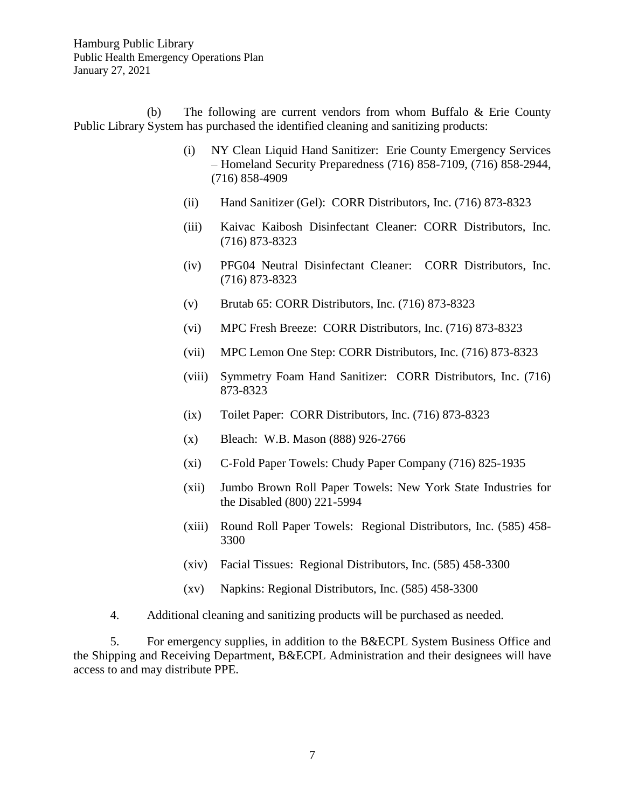(b) The following are current vendors from whom Buffalo & Erie County Public Library System has purchased the identified cleaning and sanitizing products:

- (i) NY Clean Liquid Hand Sanitizer: Erie County Emergency Services – Homeland Security Preparedness (716) 858-7109, (716) 858-2944, (716) 858-4909
- (ii) Hand Sanitizer (Gel): CORR Distributors, Inc. (716) 873-8323
- (iii) Kaivac Kaibosh Disinfectant Cleaner: CORR Distributors, Inc. (716) 873-8323
- (iv) PFG04 Neutral Disinfectant Cleaner: CORR Distributors, Inc. (716) 873-8323
- (v) Brutab 65: CORR Distributors, Inc. (716) 873-8323
- (vi) MPC Fresh Breeze: CORR Distributors, Inc. (716) 873-8323
- (vii) MPC Lemon One Step: CORR Distributors, Inc. (716) 873-8323
- (viii) Symmetry Foam Hand Sanitizer: CORR Distributors, Inc. (716) 873-8323
- (ix) Toilet Paper: CORR Distributors, Inc. (716) 873-8323
- (x) Bleach: W.B. Mason (888) 926-2766
- (xi) C-Fold Paper Towels: Chudy Paper Company (716) 825-1935
- (xii) Jumbo Brown Roll Paper Towels: New York State Industries for the Disabled (800) 221-5994
- (xiii) Round Roll Paper Towels: Regional Distributors, Inc. (585) 458- 3300
- (xiv) Facial Tissues: Regional Distributors, Inc. (585) 458-3300
- (xv) Napkins: Regional Distributors, Inc. (585) 458-3300
- 4. Additional cleaning and sanitizing products will be purchased as needed.

5. For emergency supplies, in addition to the B&ECPL System Business Office and the Shipping and Receiving Department, B&ECPL Administration and their designees will have access to and may distribute PPE.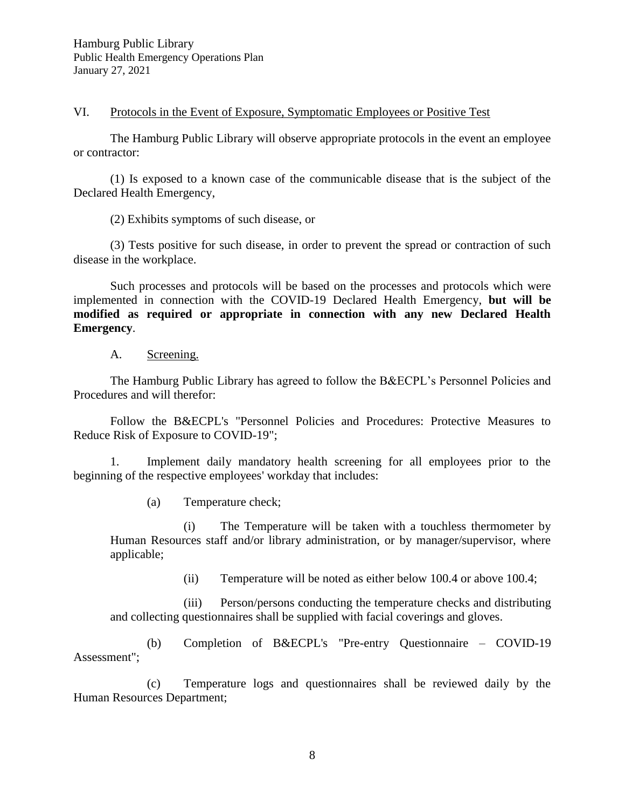VI. Protocols in the Event of Exposure, Symptomatic Employees or Positive Test

The Hamburg Public Library will observe appropriate protocols in the event an employee or contractor:

(1) Is exposed to a known case of the communicable disease that is the subject of the Declared Health Emergency,

(2) Exhibits symptoms of such disease, or

(3) Tests positive for such disease, in order to prevent the spread or contraction of such disease in the workplace.

Such processes and protocols will be based on the processes and protocols which were implemented in connection with the COVID-19 Declared Health Emergency, **but will be modified as required or appropriate in connection with any new Declared Health Emergency**.

#### A. Screening.

The Hamburg Public Library has agreed to follow the B&ECPL's Personnel Policies and Procedures and will therefor:

Follow the B&ECPL's "Personnel Policies and Procedures: Protective Measures to Reduce Risk of Exposure to COVID-19";

1. Implement daily mandatory health screening for all employees prior to the beginning of the respective employees' workday that includes:

(a) Temperature check;

(i) The Temperature will be taken with a touchless thermometer by Human Resources staff and/or library administration, or by manager/supervisor, where applicable;

(ii) Temperature will be noted as either below 100.4 or above 100.4;

(iii) Person/persons conducting the temperature checks and distributing and collecting questionnaires shall be supplied with facial coverings and gloves.

(b) Completion of B&ECPL's "Pre-entry Questionnaire – COVID-19 Assessment";

(c) Temperature logs and questionnaires shall be reviewed daily by the Human Resources Department;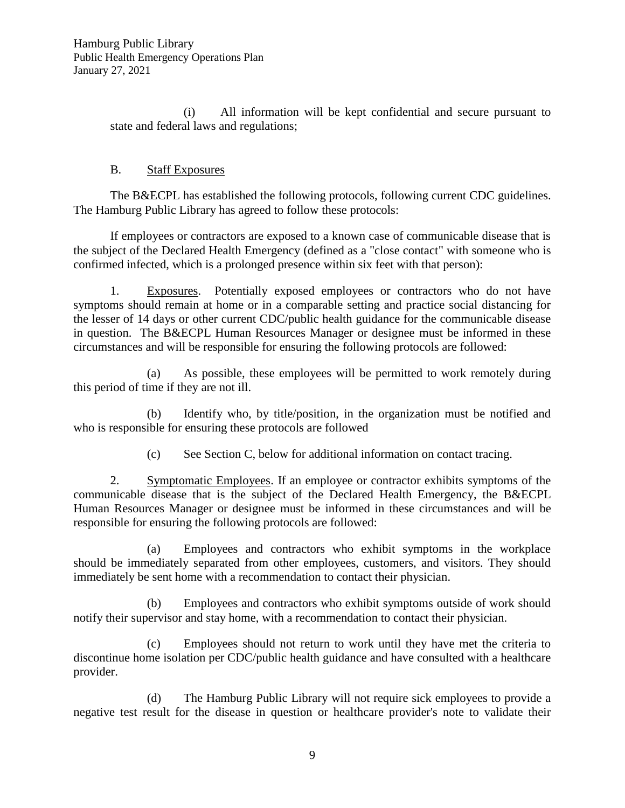(i) All information will be kept confidential and secure pursuant to state and federal laws and regulations;

## B. Staff Exposures

The B&ECPL has established the following protocols, following current CDC guidelines. The Hamburg Public Library has agreed to follow these protocols:

If employees or contractors are exposed to a known case of communicable disease that is the subject of the Declared Health Emergency (defined as a "close contact" with someone who is confirmed infected, which is a prolonged presence within six feet with that person):

1. Exposures. Potentially exposed employees or contractors who do not have symptoms should remain at home or in a comparable setting and practice social distancing for the lesser of 14 days or other current CDC/public health guidance for the communicable disease in question. The B&ECPL Human Resources Manager or designee must be informed in these circumstances and will be responsible for ensuring the following protocols are followed:

(a) As possible, these employees will be permitted to work remotely during this period of time if they are not ill.

(b) Identify who, by title/position, in the organization must be notified and who is responsible for ensuring these protocols are followed

(c) See Section C, below for additional information on contact tracing.

2. Symptomatic Employees. If an employee or contractor exhibits symptoms of the communicable disease that is the subject of the Declared Health Emergency, the B&ECPL Human Resources Manager or designee must be informed in these circumstances and will be responsible for ensuring the following protocols are followed:

(a) Employees and contractors who exhibit symptoms in the workplace should be immediately separated from other employees, customers, and visitors. They should immediately be sent home with a recommendation to contact their physician.

(b) Employees and contractors who exhibit symptoms outside of work should notify their supervisor and stay home, with a recommendation to contact their physician.

(c) Employees should not return to work until they have met the criteria to discontinue home isolation per CDC/public health guidance and have consulted with a healthcare provider.

(d) The Hamburg Public Library will not require sick employees to provide a negative test result for the disease in question or healthcare provider's note to validate their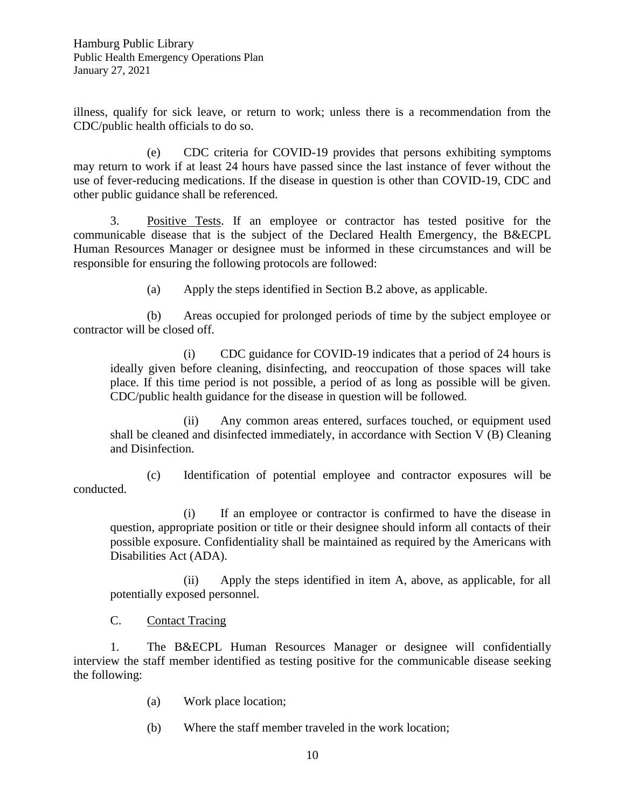illness, qualify for sick leave, or return to work; unless there is a recommendation from the CDC/public health officials to do so.

(e) CDC criteria for COVID-19 provides that persons exhibiting symptoms may return to work if at least 24 hours have passed since the last instance of fever without the use of fever-reducing medications. If the disease in question is other than COVID-19, CDC and other public guidance shall be referenced.

3. Positive Tests. If an employee or contractor has tested positive for the communicable disease that is the subject of the Declared Health Emergency, the B&ECPL Human Resources Manager or designee must be informed in these circumstances and will be responsible for ensuring the following protocols are followed:

(a) Apply the steps identified in Section B.2 above, as applicable.

(b) Areas occupied for prolonged periods of time by the subject employee or contractor will be closed off.

(i) CDC guidance for COVID-19 indicates that a period of 24 hours is ideally given before cleaning, disinfecting, and reoccupation of those spaces will take place. If this time period is not possible, a period of as long as possible will be given. CDC/public health guidance for the disease in question will be followed.

(ii) Any common areas entered, surfaces touched, or equipment used shall be cleaned and disinfected immediately, in accordance with Section V (B) Cleaning and Disinfection.

(c) Identification of potential employee and contractor exposures will be conducted.

(i) If an employee or contractor is confirmed to have the disease in question, appropriate position or title or their designee should inform all contacts of their possible exposure. Confidentiality shall be maintained as required by the Americans with Disabilities Act (ADA).

(ii) Apply the steps identified in item A, above, as applicable, for all potentially exposed personnel.

C. Contact Tracing

1. The B&ECPL Human Resources Manager or designee will confidentially interview the staff member identified as testing positive for the communicable disease seeking the following:

- (a) Work place location;
- (b) Where the staff member traveled in the work location;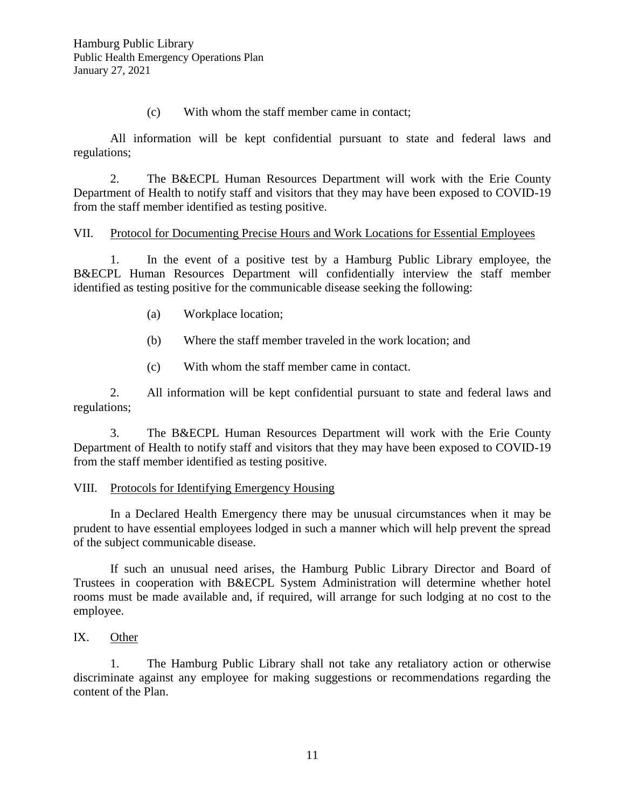(c) With whom the staff member came in contact;

All information will be kept confidential pursuant to state and federal laws and regulations;

2. The B&ECPL Human Resources Department will work with the Erie County Department of Health to notify staff and visitors that they may have been exposed to COVID-19 from the staff member identified as testing positive.

### VII. Protocol for Documenting Precise Hours and Work Locations for Essential Employees

1. In the event of a positive test by a Hamburg Public Library employee, the B&ECPL Human Resources Department will confidentially interview the staff member identified as testing positive for the communicable disease seeking the following:

- (a) Workplace location;
- (b) Where the staff member traveled in the work location; and
- (c) With whom the staff member came in contact.

2. All information will be kept confidential pursuant to state and federal laws and regulations;

3. The B&ECPL Human Resources Department will work with the Erie County Department of Health to notify staff and visitors that they may have been exposed to COVID-19 from the staff member identified as testing positive.

### VIII. Protocols for Identifying Emergency Housing

In a Declared Health Emergency there may be unusual circumstances when it may be prudent to have essential employees lodged in such a manner which will help prevent the spread of the subject communicable disease.

If such an unusual need arises, the Hamburg Public Library Director and Board of Trustees in cooperation with B&ECPL System Administration will determine whether hotel rooms must be made available and, if required, will arrange for such lodging at no cost to the employee.

### IX. Other

1. The Hamburg Public Library shall not take any retaliatory action or otherwise discriminate against any employee for making suggestions or recommendations regarding the content of the Plan.